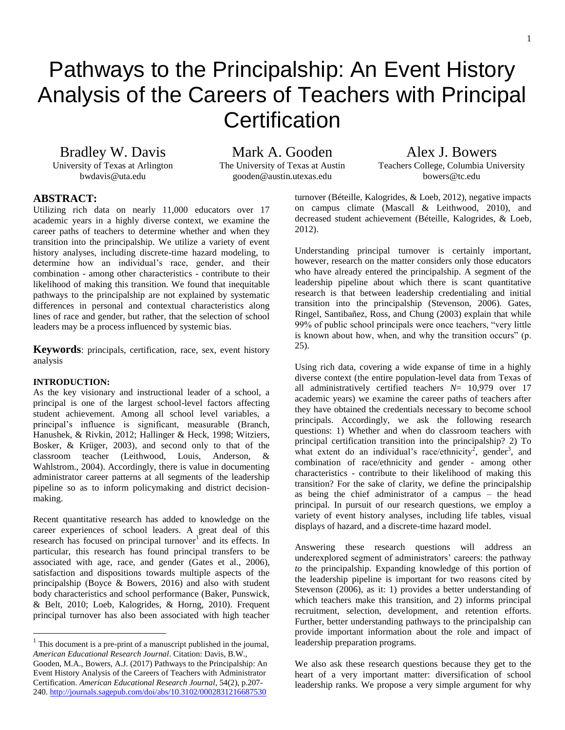# Pathways to the Principalship: An Event History Analysis of the Careers of Teachers with Principal **Certification**

Bradley W. Davis Mark A. Gooden Alex J. Bowers

bwdavis@uta.edu gooden@austin.utexas.edu bowers@tc.edu

University of Texas at Arlington The University of Texas at Austin Teachers College, Columbia University

# **ABSTRACT:<sup>1</sup>**

Utilizing rich data on nearly 11,000 educators over 17 academic years in a highly diverse context, we examine the career paths of teachers to determine whether and when they transition into the principalship. We utilize a variety of event history analyses, including discrete-time hazard modeling, to determine how an individual's race, gender, and their combination - among other characteristics - contribute to their likelihood of making this transition. We found that inequitable pathways to the principalship are not explained by systematic differences in personal and contextual characteristics along lines of race and gender, but rather, that the selection of school leaders may be a process influenced by systemic bias.

**Keywords**: principals, certification, race, sex, event history analysis

### **INTRODUCTION:**

 $\overline{a}$ 

As the key visionary and instructional leader of a school, a principal is one of the largest school-level factors affecting student achievement. Among all school level variables, a principal's influence is significant, measurable (Branch, Hanushek, & Rivkin, 2012; Hallinger & Heck, 1998; Witziers, Bosker, & Krüger, 2003), and second only to that of the classroom teacher (Leithwood, Louis, Anderson, & Wahlstrom., 2004). Accordingly, there is value in documenting administrator career patterns at all segments of the leadership pipeline so as to inform policymaking and district decisionmaking.

Recent quantitative research has added to knowledge on the career experiences of school leaders. A great deal of this research has focused on principal turnover<sup>1</sup> and its effects. In particular, this research has found principal transfers to be associated with age, race, and gender (Gates et al., 2006), satisfaction and dispositions towards multiple aspects of the principalship (Boyce & Bowers, 2016) and also with student body characteristics and school performance (Baker, Punswick, & Belt, 2010; Loeb, Kalogrides, & Horng, 2010). Frequent principal turnover has also been associated with high teacher

turnover (Béteille, Kalogrides, & Loeb, 2012), negative impacts on campus climate (Mascall & Leithwood, 2010), and decreased student achievement (Béteille, Kalogrides, & Loeb, 2012).

Understanding principal turnover is certainly important, however, research on the matter considers only those educators who have already entered the principalship. A segment of the leadership pipeline about which there is scant quantitative research is that between leadership credentialing and initial transition into the principalship (Stevenson, 2006). Gates, Ringel, Santibañez, Ross, and Chung (2003) explain that while 99% of public school principals were once teachers, "very little is known about how, when, and why the transition occurs" (p. 25).

Using rich data, covering a wide expanse of time in a highly diverse context (the entire population-level data from Texas of all administratively certified teachers *N*= 10,979 over 17 academic years) we examine the career paths of teachers after they have obtained the credentials necessary to become school principals. Accordingly, we ask the following research questions: 1) Whether and when do classroom teachers with principal certification transition into the principalship? 2) To what extent do an individual's race/ethnicity<sup>2</sup>, gender<sup>3</sup>, and combination of race/ethnicity and gender - among other characteristics - contribute to their likelihood of making this transition? For the sake of clarity, we define the principalship as being the chief administrator of a campus – the head principal. In pursuit of our research questions, we employ a variety of event history analyses, including life tables, visual displays of hazard, and a discrete-time hazard model.

Answering these research questions will address an underexplored segment of administrators' careers: the pathway *to* the principalship. Expanding knowledge of this portion of the leadership pipeline is important for two reasons cited by Stevenson (2006), as it: 1) provides a better understanding of which teachers make this transition, and 2) informs principal recruitment, selection, development, and retention efforts. Further, better understanding pathways to the principalship can provide important information about the role and impact of leadership preparation programs.

We also ask these research questions because they get to the heart of a very important matter: diversification of school leadership ranks. We propose a very simple argument for why

 $<sup>1</sup>$  This document is a pre-print of a manuscript published in the journal,</sup> *American Educational Research Journal*. Citation: Davis, B.W.,

Gooden, M.A., Bowers, A.J. (2017) Pathways to the Principalship: An Event History Analysis of the Careers of Teachers with Administrator Certification. *American Educational Research Journal*, 54(2), p.207- 240.<http://journals.sagepub.com/doi/abs/10.3102/0002831216687530>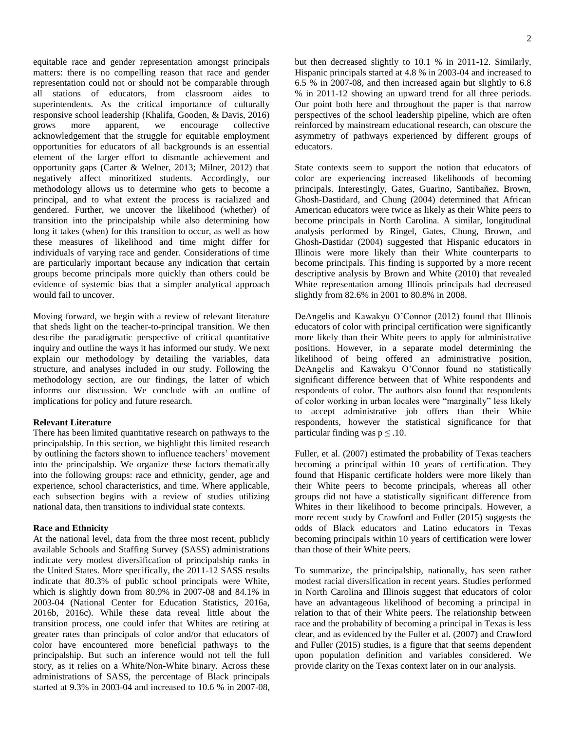equitable race and gender representation amongst principals matters: there is no compelling reason that race and gender representation could not or should not be comparable through all stations of educators, from classroom aides to superintendents. As the critical importance of culturally responsive school leadership (Khalifa, Gooden, & Davis, 2016)<br>grows more apparent, we encourage collective grows more apparent, we encourage collective acknowledgement that the struggle for equitable employment opportunities for educators of all backgrounds is an essential element of the larger effort to dismantle achievement and opportunity gaps (Carter & Welner, 2013; Milner, 2012) that negatively affect minoritized students. Accordingly, our methodology allows us to determine who gets to become a principal, and to what extent the process is racialized and gendered. Further, we uncover the likelihood (whether) of transition into the principalship while also determining how long it takes (when) for this transition to occur, as well as how these measures of likelihood and time might differ for individuals of varying race and gender. Considerations of time are particularly important because any indication that certain groups become principals more quickly than others could be evidence of systemic bias that a simpler analytical approach would fail to uncover.

Moving forward, we begin with a review of relevant literature that sheds light on the teacher-to-principal transition. We then describe the paradigmatic perspective of critical quantitative inquiry and outline the ways it has informed our study. We next explain our methodology by detailing the variables, data structure, and analyses included in our study. Following the methodology section, are our findings, the latter of which informs our discussion. We conclude with an outline of implications for policy and future research.

## **Relevant Literature**

There has been limited quantitative research on pathways to the principalship. In this section, we highlight this limited research by outlining the factors shown to influence teachers' movement into the principalship. We organize these factors thematically into the following groups: race and ethnicity, gender, age and experience, school characteristics, and time. Where applicable, each subsection begins with a review of studies utilizing national data, then transitions to individual state contexts.

#### **Race and Ethnicity**

At the national level, data from the three most recent, publicly available Schools and Staffing Survey (SASS) administrations indicate very modest diversification of principalship ranks in the United States. More specifically, the 2011-12 SASS results indicate that 80.3% of public school principals were White, which is slightly down from 80.9% in 2007-08 and 84.1% in 2003-04 (National Center for Education Statistics, 2016a, 2016b, 2016c). While these data reveal little about the transition process, one could infer that Whites are retiring at greater rates than principals of color and/or that educators of color have encountered more beneficial pathways to the principalship. But such an inference would not tell the full story, as it relies on a White/Non-White binary. Across these administrations of SASS, the percentage of Black principals started at 9.3% in 2003-04 and increased to 10.6 % in 2007-08,

but then decreased slightly to 10.1 % in 2011-12. Similarly, Hispanic principals started at 4.8 % in 2003-04 and increased to 6.5 % in 2007-08, and then increased again but slightly to 6.8 % in 2011-12 showing an upward trend for all three periods. Our point both here and throughout the paper is that narrow perspectives of the school leadership pipeline, which are often reinforced by mainstream educational research, can obscure the asymmetry of pathways experienced by different groups of educators.

State contexts seem to support the notion that educators of color are experiencing increased likelihoods of becoming principals. Interestingly, Gates, Guarino, Santibañez, Brown, Ghosh-Dastidard, and Chung (2004) determined that African American educators were twice as likely as their White peers to become principals in North Carolina. A similar, longitudinal analysis performed by Ringel, Gates, Chung, Brown, and Ghosh-Dastidar (2004) suggested that Hispanic educators in Illinois were more likely than their White counterparts to become principals. This finding is supported by a more recent descriptive analysis by Brown and White (2010) that revealed White representation among Illinois principals had decreased slightly from 82.6% in 2001 to 80.8% in 2008.

DeAngelis and Kawakyu O'Connor (2012) found that Illinois educators of color with principal certification were significantly more likely than their White peers to apply for administrative positions. However, in a separate model determining the likelihood of being offered an administrative position, DeAngelis and Kawakyu O'Connor found no statistically significant difference between that of White respondents and respondents of color. The authors also found that respondents of color working in urban locales were "marginally" less likely to accept administrative job offers than their White respondents, however the statistical significance for that particular finding was  $p \leq .10$ .

Fuller, et al. (2007) estimated the probability of Texas teachers becoming a principal within 10 years of certification. They found that Hispanic certificate holders were more likely than their White peers to become principals, whereas all other groups did not have a statistically significant difference from Whites in their likelihood to become principals. However, a more recent study by Crawford and Fuller (2015) suggests the odds of Black educators and Latino educators in Texas becoming principals within 10 years of certification were lower than those of their White peers.

To summarize, the principalship, nationally, has seen rather modest racial diversification in recent years. Studies performed in North Carolina and Illinois suggest that educators of color have an advantageous likelihood of becoming a principal in relation to that of their White peers. The relationship between race and the probability of becoming a principal in Texas is less clear, and as evidenced by the Fuller et al. (2007) and Crawford and Fuller (2015) studies, is a figure that that seems dependent upon population definition and variables considered. We provide clarity on the Texas context later on in our analysis.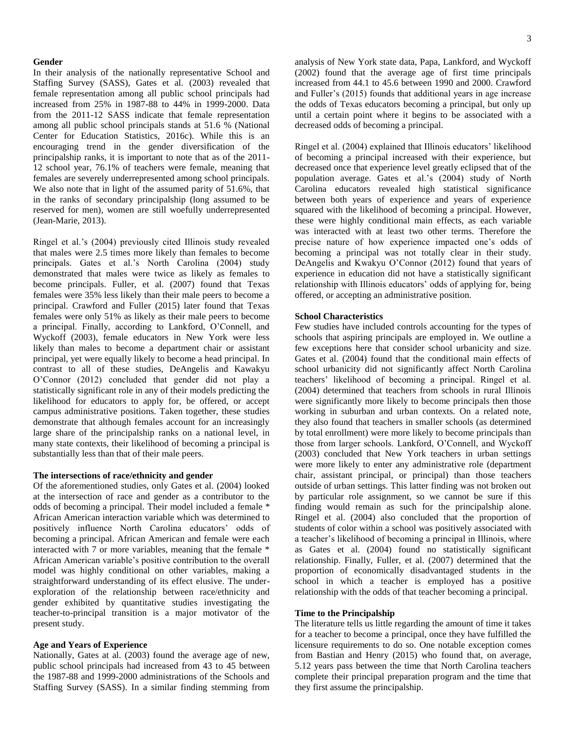#### **Gender**

In their analysis of the nationally representative School and Staffing Survey (SASS), Gates et al. (2003) revealed that female representation among all public school principals had increased from 25% in 1987-88 to 44% in 1999-2000. Data from the 2011-12 SASS indicate that female representation among all public school principals stands at 51.6 % (National Center for Education Statistics, 2016c). While this is an encouraging trend in the gender diversification of the principalship ranks, it is important to note that as of the 2011- 12 school year, 76.1% of teachers were female, meaning that females are severely underrepresented among school principals. We also note that in light of the assumed parity of 51.6%, that in the ranks of secondary principalship (long assumed to be reserved for men), women are still woefully underrepresented (Jean-Marie, 2013).

Ringel et al.'s (2004) previously cited Illinois study revealed that males were 2.5 times more likely than females to become principals. Gates et al.'s North Carolina (2004) study demonstrated that males were twice as likely as females to become principals. Fuller, et al. (2007) found that Texas females were 35% less likely than their male peers to become a principal. Crawford and Fuller (2015) later found that Texas females were only 51% as likely as their male peers to become a principal. Finally, according to Lankford, O'Connell, and Wyckoff (2003), female educators in New York were less likely than males to become a department chair or assistant principal, yet were equally likely to become a head principal. In contrast to all of these studies, DeAngelis and Kawakyu O'Connor (2012) concluded that gender did not play a statistically significant role in any of their models predicting the likelihood for educators to apply for, be offered, or accept campus administrative positions. Taken together, these studies demonstrate that although females account for an increasingly large share of the principalship ranks on a national level, in many state contexts, their likelihood of becoming a principal is substantially less than that of their male peers.

#### **The intersections of race/ethnicity and gender**

Of the aforementioned studies, only Gates et al. (2004) looked at the intersection of race and gender as a contributor to the odds of becoming a principal. Their model included a female \* African American interaction variable which was determined to positively influence North Carolina educators' odds of becoming a principal. African American and female were each interacted with 7 or more variables, meaning that the female \* African American variable's positive contribution to the overall model was highly conditional on other variables, making a straightforward understanding of its effect elusive. The underexploration of the relationship between race/ethnicity and gender exhibited by quantitative studies investigating the teacher-to-principal transition is a major motivator of the present study.

# **Age and Years of Experience**

Nationally, Gates at al. (2003) found the average age of new, public school principals had increased from 43 to 45 between the 1987-88 and 1999-2000 administrations of the Schools and Staffing Survey (SASS). In a similar finding stemming from analysis of New York state data, Papa, Lankford, and Wyckoff (2002) found that the average age of first time principals increased from 44.1 to 45.6 between 1990 and 2000. Crawford and Fuller's (2015) founds that additional years in age increase the odds of Texas educators becoming a principal, but only up until a certain point where it begins to be associated with a decreased odds of becoming a principal.

Ringel et al. (2004) explained that Illinois educators' likelihood of becoming a principal increased with their experience, but decreased once that experience level greatly eclipsed that of the population average. Gates et al.'s (2004) study of North Carolina educators revealed high statistical significance between both years of experience and years of experience squared with the likelihood of becoming a principal. However, these were highly conditional main effects, as each variable was interacted with at least two other terms. Therefore the precise nature of how experience impacted one's odds of becoming a principal was not totally clear in their study. DeAngelis and Kwakyu O'Connor (2012) found that years of experience in education did not have a statistically significant relationship with Illinois educators' odds of applying for, being offered, or accepting an administrative position.

#### **School Characteristics**

Few studies have included controls accounting for the types of schools that aspiring principals are employed in. We outline a few exceptions here that consider school urbanicity and size. Gates et al. (2004) found that the conditional main effects of school urbanicity did not significantly affect North Carolina teachers' likelihood of becoming a principal. Ringel et al. (2004) determined that teachers from schools in rural Illinois were significantly more likely to become principals then those working in suburban and urban contexts. On a related note, they also found that teachers in smaller schools (as determined by total enrollment) were more likely to become principals than those from larger schools. Lankford, O'Connell, and Wyckoff (2003) concluded that New York teachers in urban settings were more likely to enter any administrative role (department chair, assistant principal, or principal) than those teachers outside of urban settings. This latter finding was not broken out by particular role assignment, so we cannot be sure if this finding would remain as such for the principalship alone. Ringel et al. (2004) also concluded that the proportion of students of color within a school was positively associated with a teacher's likelihood of becoming a principal in Illinois, where as Gates et al. (2004) found no statistically significant relationship. Finally, Fuller, et al. (2007) determined that the proportion of economically disadvantaged students in the school in which a teacher is employed has a positive relationship with the odds of that teacher becoming a principal.

#### **Time to the Principalship**

The literature tells us little regarding the amount of time it takes for a teacher to become a principal, once they have fulfilled the licensure requirements to do so. One notable exception comes from Bastian and Henry (2015) who found that, on average, 5.12 years pass between the time that North Carolina teachers complete their principal preparation program and the time that they first assume the principalship.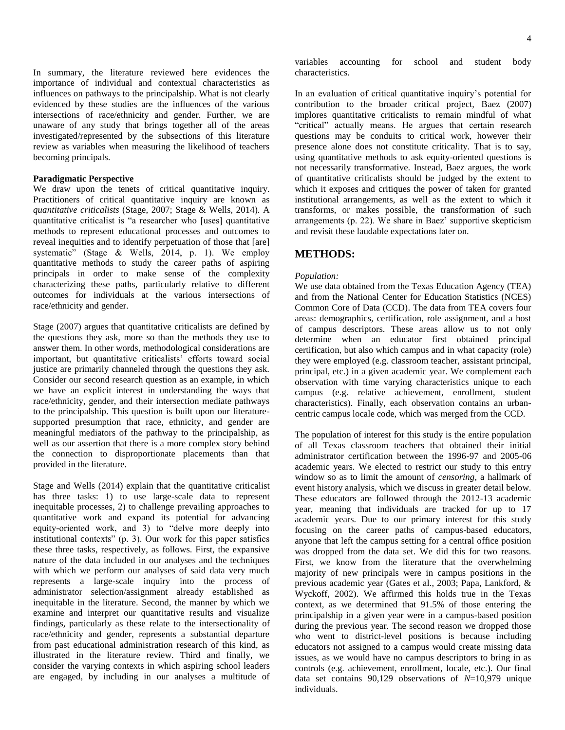In summary, the literature reviewed here evidences the importance of individual and contextual characteristics as influences on pathways to the principalship. What is not clearly evidenced by these studies are the influences of the various intersections of race/ethnicity and gender. Further, we are unaware of any study that brings together all of the areas investigated/represented by the subsections of this literature review as variables when measuring the likelihood of teachers becoming principals.

### **Paradigmatic Perspective**

We draw upon the tenets of critical quantitative inquiry. Practitioners of critical quantitative inquiry are known as *quantitative criticalists* (Stage, 2007; Stage & Wells, 2014). A quantitative criticalist is "a researcher who [uses] quantitative methods to represent educational processes and outcomes to reveal inequities and to identify perpetuation of those that [are] systematic" (Stage  $\&$  Wells, 2014, p. 1). We employ quantitative methods to study the career paths of aspiring principals in order to make sense of the complexity characterizing these paths, particularly relative to different outcomes for individuals at the various intersections of race/ethnicity and gender.

Stage (2007) argues that quantitative criticalists are defined by the questions they ask, more so than the methods they use to answer them. In other words, methodological considerations are important, but quantitative criticalists' efforts toward social justice are primarily channeled through the questions they ask. Consider our second research question as an example, in which we have an explicit interest in understanding the ways that race/ethnicity, gender, and their intersection mediate pathways to the principalship. This question is built upon our literaturesupported presumption that race, ethnicity, and gender are meaningful mediators of the pathway to the principalship, as well as our assertion that there is a more complex story behind the connection to disproportionate placements than that provided in the literature.

Stage and Wells (2014) explain that the quantitative criticalist has three tasks: 1) to use large-scale data to represent inequitable processes, 2) to challenge prevailing approaches to quantitative work and expand its potential for advancing equity-oriented work, and 3) to "delve more deeply into institutional contexts" (p. 3). Our work for this paper satisfies these three tasks, respectively, as follows. First, the expansive nature of the data included in our analyses and the techniques with which we perform our analyses of said data very much represents a large-scale inquiry into the process of administrator selection/assignment already established as inequitable in the literature. Second, the manner by which we examine and interpret our quantitative results and visualize findings, particularly as these relate to the intersectionality of race/ethnicity and gender, represents a substantial departure from past educational administration research of this kind, as illustrated in the literature review. Third and finally, we consider the varying contexts in which aspiring school leaders are engaged, by including in our analyses a multitude of

variables accounting for school and student body characteristics.

In an evaluation of critical quantitative inquiry's potential for contribution to the broader critical project, Baez (2007) implores quantitative criticalists to remain mindful of what "critical" actually means. He argues that certain research questions may be conduits to critical work, however their presence alone does not constitute criticality. That is to say, using quantitative methods to ask equity-oriented questions is not necessarily transformative. Instead, Baez argues, the work of quantitative criticalists should be judged by the extent to which it exposes and critiques the power of taken for granted institutional arrangements, as well as the extent to which it transforms, or makes possible, the transformation of such arrangements (p. 22). We share in Baez' supportive skepticism and revisit these laudable expectations later on.

# **METHODS:**

#### *Population:*

We use data obtained from the Texas Education Agency (TEA) and from the National Center for Education Statistics (NCES) Common Core of Data (CCD). The data from TEA covers four areas: demographics, certification, role assignment, and a host of campus descriptors. These areas allow us to not only determine when an educator first obtained principal certification, but also which campus and in what capacity (role) they were employed (e.g. classroom teacher, assistant principal, principal, etc.) in a given academic year. We complement each observation with time varying characteristics unique to each campus (e.g. relative achievement, enrollment, student characteristics). Finally, each observation contains an urbancentric campus locale code, which was merged from the CCD.

The population of interest for this study is the entire population of all Texas classroom teachers that obtained their initial administrator certification between the 1996-97 and 2005-06 academic years. We elected to restrict our study to this entry window so as to limit the amount of *censoring*, a hallmark of event history analysis, which we discuss in greater detail below. These educators are followed through the 2012-13 academic year, meaning that individuals are tracked for up to 17 academic years. Due to our primary interest for this study focusing on the career paths of campus-based educators, anyone that left the campus setting for a central office position was dropped from the data set. We did this for two reasons. First, we know from the literature that the overwhelming majority of new principals were in campus positions in the previous academic year (Gates et al., 2003; Papa, Lankford, & Wyckoff, 2002). We affirmed this holds true in the Texas context, as we determined that 91.5% of those entering the principalship in a given year were in a campus-based position during the previous year. The second reason we dropped those who went to district-level positions is because including educators not assigned to a campus would create missing data issues, as we would have no campus descriptors to bring in as controls (e.g. achievement, enrollment, locale, etc.). Our final data set contains 90,129 observations of *N*=10,979 unique individuals.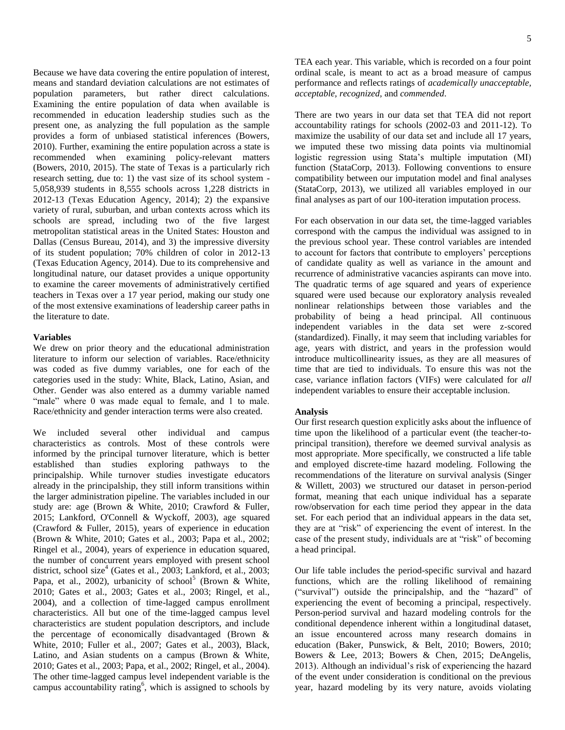Because we have data covering the entire population of interest, means and standard deviation calculations are not estimates of population parameters, but rather direct calculations. Examining the entire population of data when available is recommended in education leadership studies such as the present one, as analyzing the full population as the sample provides a form of unbiased statistical inferences (Bowers, 2010). Further, examining the entire population across a state is recommended when examining policy-relevant matters (Bowers, 2010, 2015). The state of Texas is a particularly rich research setting, due to: 1) the vast size of its school system - 5,058,939 students in 8,555 schools across 1,228 districts in 2012-13 (Texas Education Agency, 2014); 2) the expansive variety of rural, suburban, and urban contexts across which its schools are spread, including two of the five largest metropolitan statistical areas in the United States: Houston and Dallas (Census Bureau, 2014), and 3) the impressive diversity of its student population; 70% children of color in 2012-13 (Texas Education Agency, 2014). Due to its comprehensive and longitudinal nature, our dataset provides a unique opportunity to examine the career movements of administratively certified teachers in Texas over a 17 year period, making our study one of the most extensive examinations of leadership career paths in the literature to date.

#### **Variables**

We drew on prior theory and the educational administration literature to inform our selection of variables. Race/ethnicity was coded as five dummy variables, one for each of the categories used in the study: White, Black, Latino, Asian, and Other. Gender was also entered as a dummy variable named "male" where 0 was made equal to female, and 1 to male. Race/ethnicity and gender interaction terms were also created.

We included several other individual and campus characteristics as controls. Most of these controls were informed by the principal turnover literature, which is better established than studies exploring pathways to the principalship. While turnover studies investigate educators already in the principalship, they still inform transitions within the larger administration pipeline. The variables included in our study are: age (Brown & White, 2010; Crawford & Fuller, 2015; Lankford, O'Connell & Wyckoff, 2003), age squared (Crawford & Fuller, 2015), years of experience in education (Brown & White, 2010; Gates et al., 2003; Papa et al., 2002; Ringel et al., 2004), years of experience in education squared, the number of concurrent years employed with present school district, school size<sup>4</sup> (Gates et al., 2003; Lankford, et al., 2003; Papa, et al., 2002), urbanicity of school<sup>5</sup> (Brown & White, 2010; Gates et al., 2003; Gates et al., 2003; Ringel, et al., 2004), and a collection of time-lagged campus enrollment characteristics. All but one of the time-lagged campus level characteristics are student population descriptors, and include the percentage of economically disadvantaged (Brown & White, 2010; Fuller et al., 2007; Gates et al., 2003), Black, Latino, and Asian students on a campus (Brown & White, 2010; Gates et al., 2003; Papa, et al., 2002; Ringel, et al., 2004). The other time-lagged campus level independent variable is the campus accountability rating<sup>6</sup>, which is assigned to schools by

TEA each year. This variable, which is recorded on a four point ordinal scale, is meant to act as a broad measure of campus performance and reflects ratings of *academically unacceptable, acceptable, recognized,* and *commended*.

There are two years in our data set that TEA did not report accountability ratings for schools (2002-03 and 2011-12). To maximize the usability of our data set and include all 17 years, we imputed these two missing data points via multinomial logistic regression using Stata's multiple imputation (MI) function (StataCorp, 2013). Following conventions to ensure compatibility between our imputation model and final analyses (StataCorp, 2013), we utilized all variables employed in our final analyses as part of our 100-iteration imputation process.

For each observation in our data set, the time-lagged variables correspond with the campus the individual was assigned to in the previous school year. These control variables are intended to account for factors that contribute to employers' perceptions of candidate quality as well as variance in the amount and recurrence of administrative vacancies aspirants can move into. The quadratic terms of age squared and years of experience squared were used because our exploratory analysis revealed nonlinear relationships between those variables and the probability of being a head principal. All continuous independent variables in the data set were z-scored (standardized). Finally, it may seem that including variables for age, years with district, and years in the profession would introduce multicollinearity issues, as they are all measures of time that are tied to individuals. To ensure this was not the case, variance inflation factors (VIFs) were calculated for *all* independent variables to ensure their acceptable inclusion.

#### **Analysis**

Our first research question explicitly asks about the influence of time upon the likelihood of a particular event (the teacher-toprincipal transition), therefore we deemed survival analysis as most appropriate. More specifically, we constructed a life table and employed discrete-time hazard modeling. Following the recommendations of the literature on survival analysis (Singer & Willett, 2003) we structured our dataset in person-period format, meaning that each unique individual has a separate row/observation for each time period they appear in the data set. For each period that an individual appears in the data set, they are at "risk" of experiencing the event of interest. In the case of the present study, individuals are at "risk" of becoming a head principal.

Our life table includes the period-specific survival and hazard functions, which are the rolling likelihood of remaining ("survival") outside the principalship, and the "hazard" of experiencing the event of becoming a principal, respectively. Person-period survival and hazard modeling controls for the conditional dependence inherent within a longitudinal dataset, an issue encountered across many research domains in education (Baker, Punswick, & Belt, 2010; Bowers, 2010; Bowers & Lee, 2013; Bowers & Chen, 2015; DeAngelis, 2013). Although an individual's risk of experiencing the hazard of the event under consideration is conditional on the previous year, hazard modeling by its very nature, avoids violating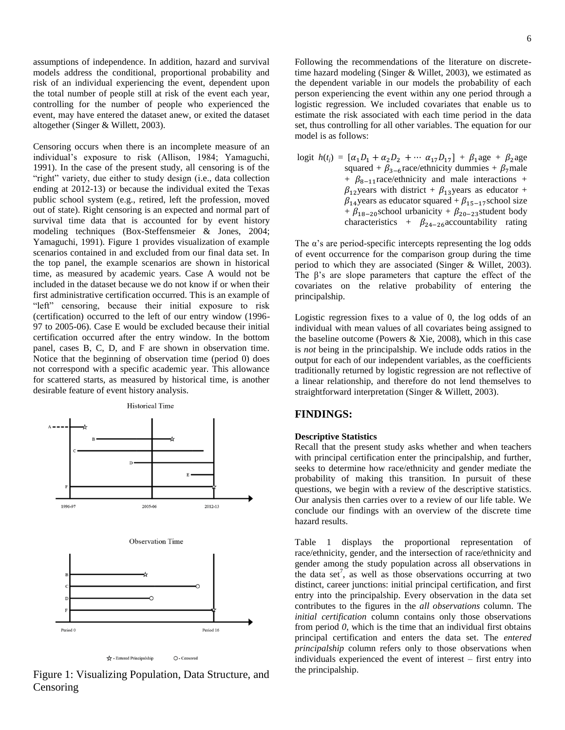assumptions of independence. In addition, hazard and survival models address the conditional, proportional probability and risk of an individual experiencing the event, dependent upon the total number of people still at risk of the event each year, controlling for the number of people who experienced the event, may have entered the dataset anew, or exited the dataset altogether (Singer & Willett, 2003).

Censoring occurs when there is an incomplete measure of an individual's exposure to risk (Allison, 1984; Yamaguchi, 1991). In the case of the present study, all censoring is of the "right" variety, due either to study design (i.e., data collection ending at 2012-13) or because the individual exited the Texas public school system (e.g., retired, left the profession, moved out of state). Right censoring is an expected and normal part of survival time data that is accounted for by event history modeling techniques (Box-Steffensmeier & Jones, 2004; Yamaguchi, 1991). Figure 1 provides visualization of example scenarios contained in and excluded from our final data set. In the top panel, the example scenarios are shown in historical time, as measured by academic years. Case A would not be included in the dataset because we do not know if or when their first administrative certification occurred. This is an example of "left" censoring, because their initial exposure to risk (certification) occurred to the left of our entry window (1996- 97 to 2005-06). Case E would be excluded because their initial certification occurred after the entry window. In the bottom panel, cases B, C, D, and F are shown in observation time. Notice that the beginning of observation time (period 0) does not correspond with a specific academic year. This allowance for scattered starts, as measured by historical time, is another desirable feature of event history analysis.



Figure 1: Visualizing Population, Data Structure, and Censoring

6

Following the recommendations of the literature on discretetime hazard modeling (Singer & Willet, 2003), we estimated as the dependent variable in our models the probability of each person experiencing the event within any one period through a logistic regression. We included covariates that enable us to estimate the risk associated with each time period in the data set, thus controlling for all other variables. The equation for our model is as follows:

logit 
$$
h(t_i) = [\alpha_1 D_1 + \alpha_2 D_2 + \cdots \alpha_{17} D_{17}] + \beta_1
$$
age + β<sub>2</sub>age  
\nsquared + β<sub>3-6</sub>race/ethnicity dummies + β<sub>7</sub>male  
\n+ β<sub>8-11</sub>race/ethnicity and male interactions +  
\nβ<sub>12</sub>years with district + β<sub>13</sub>years as educator  
\nβ<sub>14</sub>years as educator squared + β<sub>15-17</sub> school size  
\n+ β<sub>18-20</sub> school urbanicity + β<sub>20-23</sub>student body  
\ncharacteristics + β<sub>24-26</sub>accountability rating

The  $\alpha$ 's are period-specific intercepts representing the log odds of event occurrence for the comparison group during the time period to which they are associated (Singer & Willet, 2003). The β's are slope parameters that capture the effect of the covariates on the relative probability of entering the principalship.

Logistic regression fixes to a value of 0, the log odds of an individual with mean values of all covariates being assigned to the baseline outcome (Powers & Xie, 2008), which in this case is *not* being in the principalship. We include odds ratios in the output for each of our independent variables, as the coefficients traditionally returned by logistic regression are not reflective of a linear relationship, and therefore do not lend themselves to straightforward interpretation (Singer & Willett, 2003).

# **FINDINGS:**

# **Descriptive Statistics**

Recall that the present study asks whether and when teachers with principal certification enter the principalship, and further, seeks to determine how race/ethnicity and gender mediate the probability of making this transition. In pursuit of these questions, we begin with a review of the descriptive statistics. Our analysis then carries over to a review of our life table. We conclude our findings with an overview of the discrete time hazard results.

Table 1 displays the proportional representation of race/ethnicity, gender, and the intersection of race/ethnicity and gender among the study population across all observations in the data set<sup>7</sup>, as well as those observations occurring at two distinct, career junctions: initial principal certification, and first entry into the principalship. Every observation in the data set contributes to the figures in the *all observations* column. The *initial certification* column contains only those observations from period *0*, which is the time that an individual first obtains principal certification and enters the data set. The *entered principalship* column refers only to those observations when individuals experienced the event of interest – first entry into the principalship.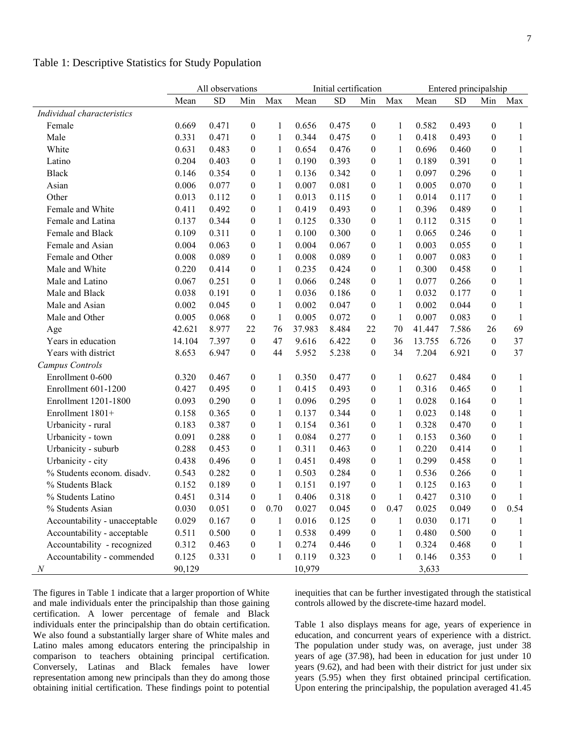|                               | All observations |           |                  | Initial certification |        |           | Entered principalship |              |        |           |                  |              |
|-------------------------------|------------------|-----------|------------------|-----------------------|--------|-----------|-----------------------|--------------|--------|-----------|------------------|--------------|
|                               | Mean             | <b>SD</b> | Min              | Max                   | Mean   | <b>SD</b> | Min                   | Max          | Mean   | <b>SD</b> | Min              | Max          |
| Individual characteristics    |                  |           |                  |                       |        |           |                       |              |        |           |                  |              |
| Female                        | 0.669            | 0.471     | $\boldsymbol{0}$ | 1                     | 0.656  | 0.475     | $\boldsymbol{0}$      | 1            | 0.582  | 0.493     | $\mathbf{0}$     | 1            |
| Male                          | 0.331            | 0.471     | $\boldsymbol{0}$ | $\mathbf{1}$          | 0.344  | 0.475     | $\theta$              | 1            | 0.418  | 0.493     | $\theta$         | $\mathbf{1}$ |
| White                         | 0.631            | 0.483     | $\mathbf{0}$     | 1                     | 0.654  | 0.476     | $\overline{0}$        | 1            | 0.696  | 0.460     | $\boldsymbol{0}$ | $\mathbf{1}$ |
| Latino                        | 0.204            | 0.403     | $\mathbf{0}$     | 1                     | 0.190  | 0.393     | $\theta$              | 1            | 0.189  | 0.391     | $\theta$         | $\mathbf{1}$ |
| <b>Black</b>                  | 0.146            | 0.354     | $\mathbf{0}$     | 1                     | 0.136  | 0.342     | $\overline{0}$        | 1            | 0.097  | 0.296     | $\mathbf{0}$     | $\mathbf{1}$ |
| Asian                         | 0.006            | 0.077     | $\mathbf{0}$     | 1                     | 0.007  | 0.081     | $\overline{0}$        | 1            | 0.005  | 0.070     | $\theta$         | $\mathbf{1}$ |
| Other                         | 0.013            | 0.112     | $\mathbf{0}$     | $\mathbf{1}$          | 0.013  | 0.115     | $\theta$              | 1            | 0.014  | 0.117     | $\theta$         | $\mathbf{1}$ |
| Female and White              | 0.411            | 0.492     | $\theta$         | $\mathbf{1}$          | 0.419  | 0.493     | $\theta$              | 1            | 0.396  | 0.489     | $\theta$         | $\mathbf{1}$ |
| Female and Latina             | 0.137            | 0.344     | $\mathbf{0}$     | $\mathbf{1}$          | 0.125  | 0.330     | $\overline{0}$        | 1            | 0.112  | 0.315     | $\boldsymbol{0}$ | $\mathbf{1}$ |
| Female and Black              | 0.109            | 0.311     | $\mathbf{0}$     | 1                     | 0.100  | 0.300     | $\overline{0}$        | 1            | 0.065  | 0.246     | $\theta$         | $\mathbf{1}$ |
| Female and Asian              | 0.004            | 0.063     | $\theta$         | 1                     | 0.004  | 0.067     | $\theta$              | 1            | 0.003  | 0.055     | $\theta$         | $\mathbf{1}$ |
| Female and Other              | 0.008            | 0.089     | $\mathbf{0}$     | 1                     | 0.008  | 0.089     | $\theta$              | 1            | 0.007  | 0.083     | $\theta$         | $\mathbf{1}$ |
| Male and White                | 0.220            | 0.414     | $\mathbf{0}$     | 1                     | 0.235  | 0.424     | $\theta$              | 1            | 0.300  | 0.458     | $\theta$         | 1            |
| Male and Latino               | 0.067            | 0.251     | $\mathbf{0}$     | 1                     | 0.066  | 0.248     | $\theta$              | 1            | 0.077  | 0.266     | $\boldsymbol{0}$ | 1            |
| Male and Black                | 0.038            | 0.191     | $\mathbf{0}$     | 1                     | 0.036  | 0.186     | $\boldsymbol{0}$      | 1            | 0.032  | 0.177     | $\boldsymbol{0}$ | $\mathbf{1}$ |
| Male and Asian                | 0.002            | 0.045     | $\mathbf{0}$     | 1                     | 0.002  | 0.047     | $\theta$              | 1            | 0.002  | 0.044     | $\boldsymbol{0}$ | 1            |
| Male and Other                | 0.005            | 0.068     | $\mathbf{0}$     | 1                     | 0.005  | 0.072     | $\mathbf{0}$          | 1            | 0.007  | 0.083     | $\boldsymbol{0}$ | -1           |
| Age                           | 42.621           | 8.977     | 22               | 76                    | 37.983 | 8.484     | 22                    | 70           | 41.447 | 7.586     | 26               | 69           |
| Years in education            | 14.104           | 7.397     | $\mathbf{0}$     | 47                    | 9.616  | 6.422     | $\boldsymbol{0}$      | 36           | 13.755 | 6.726     | $\mathbf{0}$     | 37           |
| Years with district           | 8.653            | 6.947     | $\mathbf{0}$     | 44                    | 5.952  | 5.238     | $\theta$              | 34           | 7.204  | 6.921     | $\mathbf{0}$     | 37           |
| Campus Controls               |                  |           |                  |                       |        |           |                       |              |        |           |                  |              |
| Enrollment 0-600              | 0.320            | 0.467     | $\boldsymbol{0}$ | 1                     | 0.350  | 0.477     | $\overline{0}$        | 1            | 0.627  | 0.484     | $\mathbf{0}$     | $\mathbf{1}$ |
| Enrollment 601-1200           | 0.427            | 0.495     | $\mathbf{0}$     | 1                     | 0.415  | 0.493     | $\overline{0}$        | 1            | 0.316  | 0.465     | $\theta$         | $\mathbf{1}$ |
| Enrollment 1201-1800          | 0.093            | 0.290     | $\mathbf{0}$     | 1                     | 0.096  | 0.295     | $\theta$              | 1            | 0.028  | 0.164     | $\theta$         | $\mathbf{1}$ |
| Enrollment 1801+              | 0.158            | 0.365     | $\mathbf{0}$     | 1                     | 0.137  | 0.344     | $\theta$              | 1            | 0.023  | 0.148     | $\theta$         | 1            |
| Urbanicity - rural            | 0.183            | 0.387     | $\mathbf{0}$     | $\mathbf{1}$          | 0.154  | 0.361     | $\theta$              | 1            | 0.328  | 0.470     | $\mathbf{0}$     | 1            |
| Urbanicity - town             | 0.091            | 0.288     | $\mathbf{0}$     | 1                     | 0.084  | 0.277     | $\overline{0}$        | 1            | 0.153  | 0.360     | $\boldsymbol{0}$ | 1            |
| Urbanicity - suburb           | 0.288            | 0.453     | $\mathbf{0}$     | 1                     | 0.311  | 0.463     | $\theta$              | 1            | 0.220  | 0.414     | $\theta$         | 1            |
| Urbanicity - city             | 0.438            | 0.496     | $\mathbf{0}$     | 1                     | 0.451  | 0.498     | $\theta$              | 1            | 0.299  | 0.458     | $\theta$         | 1            |
| % Students econom. disadv.    | 0.543            | 0.282     | $\mathbf{0}$     | 1                     | 0.503  | 0.284     | $\overline{0}$        | 1            | 0.536  | 0.266     | 0                | $\mathbf{1}$ |
| % Students Black              | 0.152            | 0.189     | $\boldsymbol{0}$ | $\mathbf{1}$          | 0.151  | 0.197     | $\boldsymbol{0}$      | $\mathbf{1}$ | 0.125  | 0.163     | $\mathbf{0}$     | $\mathbf{1}$ |
| % Students Latino             | 0.451            | 0.314     | $\boldsymbol{0}$ | $\mathbf{1}$          | 0.406  | 0.318     | $\boldsymbol{0}$      | $\mathbf{1}$ | 0.427  | 0.310     | $\boldsymbol{0}$ | $\mathbf{1}$ |
| % Students Asian              | 0.030            | 0.051     | $\boldsymbol{0}$ | 0.70                  | 0.027  | 0.045     | $\boldsymbol{0}$      | 0.47         | 0.025  | 0.049     | $\boldsymbol{0}$ | 0.54         |
| Accountability - unacceptable | 0.029            | 0.167     | $\boldsymbol{0}$ | 1                     | 0.016  | 0.125     | $\boldsymbol{0}$      | 1            | 0.030  | 0.171     | $\boldsymbol{0}$ | 1            |
| Accountability - acceptable   | 0.511            | 0.500     | $\theta$         | 1                     | 0.538  | 0.499     | $\theta$              | 1            | 0.480  | 0.500     | $\theta$         | 1            |
| Accountability - recognized   | 0.312            | 0.463     | $\mathbf{0}$     | 1                     | 0.274  | 0.446     | 0                     | 1            | 0.324  | 0.468     | 0                | 1            |
| Accountability - commended    | 0.125            | 0.331     | $\boldsymbol{0}$ | 1                     | 0.119  | 0.323     | $\boldsymbol{0}$      | 1            | 0.146  | 0.353     | $\boldsymbol{0}$ | $\mathbf{1}$ |
| $\boldsymbol{N}$              | 90,129           |           |                  |                       | 10,979 |           |                       |              | 3,633  |           |                  |              |

Table 1: Descriptive Statistics for Study Population

The figures in Table 1 indicate that a larger proportion of White and male individuals enter the principalship than those gaining certification. A lower percentage of female and Black individuals enter the principalship than do obtain certification. We also found a substantially larger share of White males and Latino males among educators entering the principalship in comparison to teachers obtaining principal certification. Conversely, Latinas and Black females have lower representation among new principals than they do among those obtaining initial certification. These findings point to potential inequities that can be further investigated through the statistical controls allowed by the discrete-time hazard model.

Table 1 also displays means for age, years of experience in education, and concurrent years of experience with a district. The population under study was, on average, just under 38 years of age (37.98), had been in education for just under 10 years (9.62), and had been with their district for just under six years (5.95) when they first obtained principal certification. Upon entering the principalship, the population averaged 41.45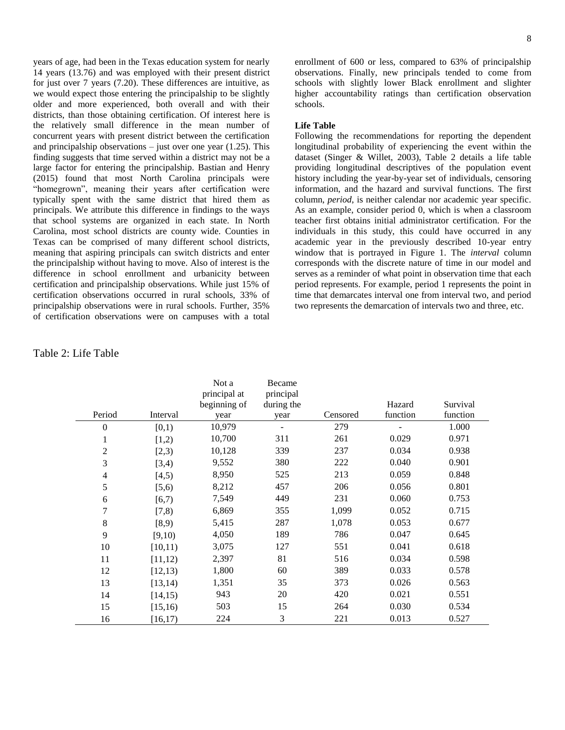years of age, had been in the Texas education system for nearly 14 years (13.76) and was employed with their present district for just over 7 years (7.20). These differences are intuitive, as we would expect those entering the principalship to be slightly older and more experienced, both overall and with their districts, than those obtaining certification. Of interest here is the relatively small difference in the mean number of concurrent years with present district between the certification and principalship observations  $-$  just over one year (1.25). This finding suggests that time served within a district may not be a large factor for entering the principalship. Bastian and Henry (2015) found that most North Carolina principals were "homegrown", meaning their years after certification were typically spent with the same district that hired them as principals. We attribute this difference in findings to the ways that school systems are organized in each state. In North Carolina, most school districts are county wide. Counties in Texas can be comprised of many different school districts, meaning that aspiring principals can switch districts and enter the principalship without having to move. Also of interest is the difference in school enrollment and urbanicity between certification and principalship observations. While just 15% of certification observations occurred in rural schools, 33% of principalship observations were in rural schools. Further, 35% of certification observations were on campuses with a total enrollment of 600 or less, compared to 63% of principalship observations. Finally, new principals tended to come from schools with slightly lower Black enrollment and slighter higher accountability ratings than certification observation schools.

#### **Life Table**

Following the recommendations for reporting the dependent longitudinal probability of experiencing the event within the dataset (Singer & Willet, 2003), Table 2 details a life table providing longitudinal descriptives of the population event history including the year-by-year set of individuals, censoring information, and the hazard and survival functions. The first column, *period*, is neither calendar nor academic year specific. As an example, consider period 0, which is when a classroom teacher first obtains initial administrator certification. For the individuals in this study, this could have occurred in any academic year in the previously described 10-year entry window that is portrayed in Figure 1. The *interval* column corresponds with the discrete nature of time in our model and serves as a reminder of what point in observation time that each period represents. For example, period 1 represents the point in time that demarcates interval one from interval two, and period two represents the demarcation of intervals two and three, etc.

# Table 2: Life Table

|                |          | Not a        | Became     |          |          |          |
|----------------|----------|--------------|------------|----------|----------|----------|
|                |          | principal at | principal  |          |          |          |
|                |          | beginning of | during the |          | Hazard   | Survival |
| Period         | Interval | year         | year       | Censored | function | function |
| $\theta$       | [0,1)    | 10,979       | ÷          | 279      |          | 1.000    |
| 1              | [1,2)    | 10,700       | 311        | 261      | 0.029    | 0.971    |
| 2              | [2,3)    | 10,128       | 339        | 237      | 0.034    | 0.938    |
| 3              | [3,4)    | 9,552        | 380        | 222      | 0.040    | 0.901    |
| $\overline{4}$ | [4,5)    | 8,950        | 525        | 213      | 0.059    | 0.848    |
| 5              | [5,6)    | 8,212        | 457        | 206      | 0.056    | 0.801    |
| 6              | [6,7)    | 7,549        | 449        | 231      | 0.060    | 0.753    |
| 7              | (7, 8)   | 6,869        | 355        | 1,099    | 0.052    | 0.715    |
| 8              | [8,9)    | 5,415        | 287        | 1,078    | 0.053    | 0.677    |
| 9              | [9,10)   | 4,050        | 189        | 786      | 0.047    | 0.645    |
| 10             | [10, 11) | 3,075        | 127        | 551      | 0.041    | 0.618    |
| 11             | [11, 12) | 2,397        | 81         | 516      | 0.034    | 0.598    |
| 12             | [12, 13) | 1,800        | 60         | 389      | 0.033    | 0.578    |
| 13             | [13, 14) | 1,351        | 35         | 373      | 0.026    | 0.563    |
| 14             | [14, 15) | 943          | 20         | 420      | 0.021    | 0.551    |
| 15             | [15, 16) | 503          | 15         | 264      | 0.030    | 0.534    |
| 16             | [16, 17) | 224          | 3          | 221      | 0.013    | 0.527    |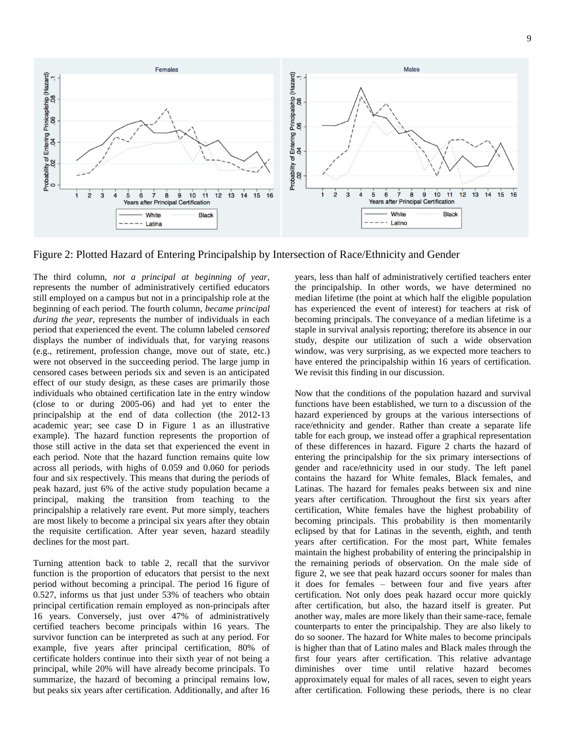

Figure 2: Plotted Hazard of Entering Principalship by Intersection of Race/Ethnicity and Gender

The third column, *not a principal at beginning of year,* represents the number of administratively certified educators still employed on a campus but not in a principalship role at the beginning of each period. The fourth column, *became principal during the year,* represents the number of individuals in each period that experienced the event. The column labeled *censored* displays the number of individuals that, for varying reasons (e.g., retirement, profession change, move out of state, etc.) were not observed in the succeeding period. The large jump in censored cases between periods six and seven is an anticipated effect of our study design, as these cases are primarily those individuals who obtained certification late in the entry window (close to or during 2005-06) and had yet to enter the principalship at the end of data collection (the 2012-13 academic year; see case D in Figure 1 as an illustrative example). The hazard function represents the proportion of those still active in the data set that experienced the event in each period. Note that the hazard function remains quite low across all periods, with highs of 0.059 and 0.060 for periods four and six respectively. This means that during the periods of peak hazard, just 6% of the active study population became a principal, making the transition from teaching to the principalship a relatively rare event. Put more simply, teachers are most likely to become a principal six years after they obtain the requisite certification. After year seven, hazard steadily declines for the most part.

Turning attention back to table 2, recall that the survivor function is the proportion of educators that persist to the next period without becoming a principal. The period 16 figure of 0.527, informs us that just under 53% of teachers who obtain principal certification remain employed as non-principals after 16 years. Conversely, just over 47% of administratively certified teachers become principals within 16 years. The survivor function can be interpreted as such at any period. For example, five years after principal certification, 80% of certificate holders continue into their sixth year of not being a principal, while 20% will have already become principals. To summarize, the hazard of becoming a principal remains low, but peaks six years after certification. Additionally, and after 16 years, less than half of administratively certified teachers enter the principalship. In other words, we have determined no median lifetime (the point at which half the eligible population has experienced the event of interest) for teachers at risk of becoming principals. The conveyance of a median lifetime is a staple in survival analysis reporting; therefore its absence in our study, despite our utilization of such a wide observation window, was very surprising, as we expected more teachers to have entered the principalship within 16 years of certification. We revisit this finding in our discussion.

Now that the conditions of the population hazard and survival functions have been established, we turn to a discussion of the hazard experienced by groups at the various intersections of race/ethnicity and gender. Rather than create a separate life table for each group, we instead offer a graphical representation of these differences in hazard. Figure 2 charts the hazard of entering the principalship for the six primary intersections of gender and race/ethnicity used in our study. The left panel contains the hazard for White females, Black females, and Latinas. The hazard for females peaks between six and nine years after certification. Throughout the first six years after certification, White females have the highest probability of becoming principals. This probability is then momentarily eclipsed by that for Latinas in the seventh, eighth, and tenth years after certification. For the most part, White females maintain the highest probability of entering the principalship in the remaining periods of observation. On the male side of figure 2, we see that peak hazard occurs sooner for males than it does for females – between four and five years after certification. Not only does peak hazard occur more quickly after certification, but also, the hazard itself is greater. Put another way, males are more likely than their same-race, female counterparts to enter the principalship. They are also likely to do so sooner. The hazard for White males to become principals is higher than that of Latino males and Black males through the first four years after certification. This relative advantage diminishes over time until relative hazard becomes approximately equal for males of all races, seven to eight years after certification. Following these periods, there is no clear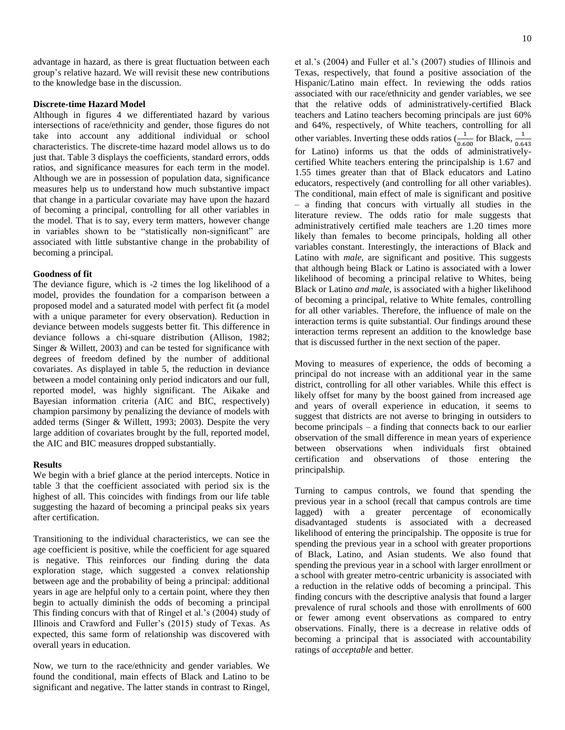advantage in hazard, as there is great fluctuation between each group's relative hazard. We will revisit these new contributions to the knowledge base in the discussion.

#### **Discrete-time Hazard Model**

Although in figures 4 we differentiated hazard by various intersections of race/ethnicity and gender, those figures do not take into account any additional individual or school characteristics. The discrete-time hazard model allows us to do just that. Table 3 displays the coefficients, standard errors, odds ratios, and significance measures for each term in the model. Although we are in possession of population data, significance measures help us to understand how much substantive impact that change in a particular covariate may have upon the hazard of becoming a principal, controlling for all other variables in the model. That is to say, every term matters, however change in variables shown to be "statistically non-significant" are associated with little substantive change in the probability of becoming a principal.

#### **Goodness of fit**

The deviance figure, which is -2 times the log likelihood of a model, provides the foundation for a comparison between a proposed model and a saturated model with perfect fit (a model with a unique parameter for every observation). Reduction in deviance between models suggests better fit. This difference in deviance follows a chi-square distribution (Allison, 1982; Singer & Willett, 2003) and can be tested for significance with degrees of freedom defined by the number of additional covariates. As displayed in table 5, the reduction in deviance between a model containing only period indicators and our full, reported model, was highly significant. The Aikake and Bayesian information criteria (AIC and BIC, respectively) champion parsimony by penalizing the deviance of models with added terms (Singer & Willett, 1993; 2003). Despite the very large addition of covariates brought by the full, reported model, the AIC and BIC measures dropped substantially.

#### **Results**

We begin with a brief glance at the period intercepts. Notice in table 3 that the coefficient associated with period six is the highest of all. This coincides with findings from our life table suggesting the hazard of becoming a principal peaks six years after certification.

Transitioning to the individual characteristics, we can see the age coefficient is positive, while the coefficient for age squared is negative. This reinforces our finding during the data exploration stage, which suggested a convex relationship between age and the probability of being a principal: additional years in age are helpful only to a certain point, where they then begin to actually diminish the odds of becoming a principal This finding concurs with that of Ringel et al.'s (2004) study of Illinois and Crawford and Fuller's (2015) study of Texas. As expected, this same form of relationship was discovered with overall years in education.

Now, we turn to the race/ethnicity and gender variables. We found the conditional, main effects of Black and Latino to be significant and negative. The latter stands in contrast to Ringel,

et al.'s (2004) and Fuller et al.'s (2007) studies of Illinois and Texas, respectively, that found a positive association of the Hispanic/Latino main effect. In reviewing the odds ratios associated with our race/ethnicity and gender variables, we see that the relative odds of administratively-certified Black teachers and Latino teachers becoming principals are just 60% and 64%, respectively, of White teachers, controlling for all other variables. Inverting these odds ratios  $\left(\frac{1}{0.600}\right)$  for Black,  $\frac{1}{0.643}$ for Latino) informs us that the odds of administrativelycertified White teachers entering the principalship is 1.67 and 1.55 times greater than that of Black educators and Latino educators, respectively (and controlling for all other variables). The conditional, main effect of male is significant and positive – a finding that concurs with virtually all studies in the literature review. The odds ratio for male suggests that administratively certified male teachers are 1.20 times more likely than females to become principals, holding all other variables constant. Interestingly, the interactions of Black and Latino with *male*, are significant and positive. This suggests that although being Black or Latino is associated with a lower likelihood of becoming a principal relative to Whites, being Black or Latino *and male*, is associated with a higher likelihood of becoming a principal, relative to White females, controlling for all other variables. Therefore, the influence of male on the interaction terms is quite substantial. Our findings around these interaction terms represent an addition to the knowledge base that is discussed further in the next section of the paper.

Moving to measures of experience, the odds of becoming a principal do not increase with an additional year in the same district, controlling for all other variables. While this effect is likely offset for many by the boost gained from increased age and years of overall experience in education, it seems to suggest that districts are not averse to bringing in outsiders to become principals – a finding that connects back to our earlier observation of the small difference in mean years of experience between observations when individuals first obtained certification and observations of those entering the principalship*.* 

Turning to campus controls, we found that spending the previous year in a school (recall that campus controls are time lagged) with a greater percentage of economically disadvantaged students is associated with a decreased likelihood of entering the principalship. The opposite is true for spending the previous year in a school with greater proportions of Black, Latino, and Asian students. We also found that spending the previous year in a school with larger enrollment or a school with greater metro-centric urbanicity is associated with a reduction in the relative odds of becoming a principal. This finding concurs with the descriptive analysis that found a larger prevalence of rural schools and those with enrollments of 600 or fewer among event observations as compared to entry observations. Finally, there is a decrease in relative odds of becoming a principal that is associated with accountability ratings of *acceptable* and better.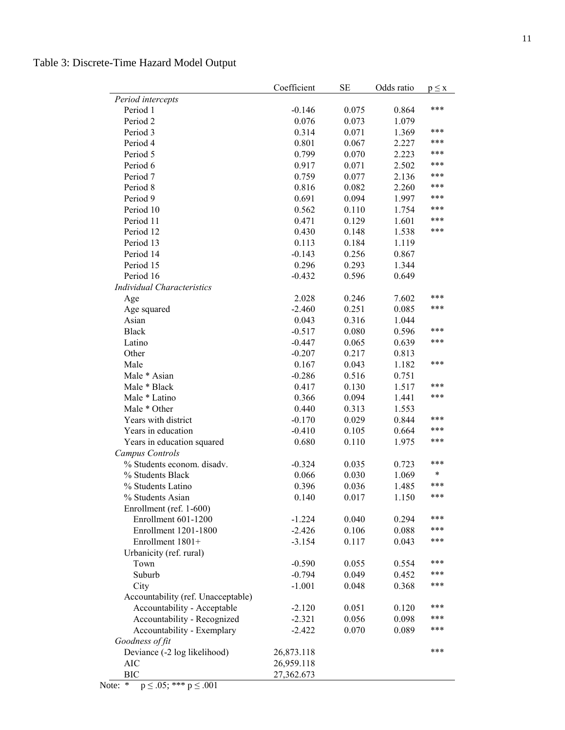|                                    | Coefficient | <b>SE</b> | Odds ratio | $p \leq x$ |
|------------------------------------|-------------|-----------|------------|------------|
| Period intercepts                  |             |           |            |            |
| Period 1                           | $-0.146$    | 0.075     | 0.864      | ***        |
| Period 2                           | 0.076       | 0.073     | 1.079      |            |
| Period 3                           | 0.314       | 0.071     | 1.369      | ***        |
| Period 4                           | 0.801       | 0.067     | 2.227      | ***        |
| Period 5                           | 0.799       | 0.070     | 2.223      | ***        |
| Period 6                           | 0.917       | 0.071     | 2.502      | ***        |
| Period 7                           | 0.759       | 0.077     | 2.136      | ***        |
| Period 8                           | 0.816       | 0.082     | 2.260      | ***        |
| Period 9                           | 0.691       | 0.094     | 1.997      | ***        |
| Period 10                          | 0.562       | 0.110     | 1.754      | ***        |
| Period 11                          | 0.471       | 0.129     | 1.601      | ***        |
| Period 12                          | 0.430       | 0.148     | 1.538      | ***        |
| Period 13                          | 0.113       | 0.184     | 1.119      |            |
| Period 14                          | $-0.143$    | 0.256     | 0.867      |            |
| Period 15                          | 0.296       | 0.293     | 1.344      |            |
| Period 16                          | $-0.432$    | 0.596     | 0.649      |            |
| <b>Individual Characteristics</b>  |             |           |            |            |
| Age                                | 2.028       | 0.246     | 7.602      | ***        |
| Age squared                        | $-2.460$    | 0.251     | 0.085      | ***        |
| Asian                              | 0.043       | 0.316     | 1.044      |            |
| <b>Black</b>                       | $-0.517$    | 0.080     | 0.596      | ***        |
| Latino                             | $-0.447$    | 0.065     | 0.639      | ***        |
| Other                              | $-0.207$    | 0.217     | 0.813      |            |
| Male                               | 0.167       | 0.043     | 1.182      | ***        |
| Male * Asian                       | $-0.286$    | 0.516     | 0.751      |            |
| Male * Black                       | 0.417       | 0.130     | 1.517      | ***        |
| Male * Latino                      | 0.366       | 0.094     | 1.441      | ***        |
| Male * Other                       | 0.440       | 0.313     | 1.553      |            |
| Years with district                | $-0.170$    | 0.029     | 0.844      | ***        |
| Years in education                 | $-0.410$    | 0.105     | 0.664      | ***        |
| Years in education squared         | 0.680       | 0.110     | 1.975      | ***        |
| Campus Controls                    |             |           |            |            |
| % Students econom. disadv.         | $-0.324$    | 0.035     | 0.723      | ***        |
| % Students Black                   | 0.066       | 0.030     | 1.069      | $\ast$     |
| % Students Latino                  | 0.396       | 0.036     | 1.485      | ***        |
| % Students Asian                   | 0.140       | 0.017     | 1.150      | ***        |
| Enrollment (ref. 1-600)            |             |           |            |            |
| Enrollment 601-1200                | $-1.224$    | 0.040     | 0.294      | ***        |
| Enrollment 1201-1800               | $-2.426$    | 0.106     | 0.088      | ***        |
| Enrollment 1801+                   | $-3.154$    | 0.117     | 0.043      | ***        |
| Urbanicity (ref. rural)            |             |           |            |            |
| Town                               | $-0.590$    | 0.055     | 0.554      | ***        |
| Suburb                             | $-0.794$    | 0.049     | 0.452      | ***        |
| City                               | $-1.001$    | 0.048     | 0.368      | ***        |
| Accountability (ref. Unacceptable) |             |           |            |            |
| Accountability - Acceptable        | $-2.120$    | 0.051     | 0.120      | ***        |
| Accountability - Recognized        | $-2.321$    | 0.056     | 0.098      | ***        |
| Accountability - Exemplary         | $-2.422$    | 0.070     | 0.089      | ***        |
| Goodness of fit                    |             |           |            |            |
| Deviance (-2 log likelihood)       | 26,873.118  |           |            | ***        |
| <b>AIC</b>                         | 26,959.118  |           |            |            |
| <b>BIC</b>                         | 27,362.673  |           |            |            |

Table 3: Discrete-Time Hazard Model Output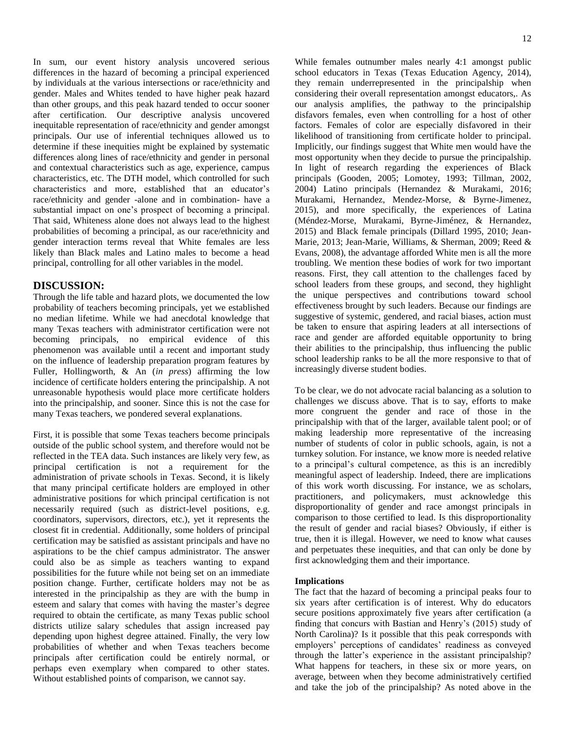In sum, our event history analysis uncovered serious differences in the hazard of becoming a principal experienced by individuals at the various intersections or race/ethnicity and gender. Males and Whites tended to have higher peak hazard than other groups, and this peak hazard tended to occur sooner after certification. Our descriptive analysis uncovered inequitable representation of race/ethnicity and gender amongst principals. Our use of inferential techniques allowed us to determine if these inequities might be explained by systematic differences along lines of race/ethnicity and gender in personal and contextual characteristics such as age, experience, campus characteristics, etc. The DTH model, which controlled for such characteristics and more, established that an educator's race/ethnicity and gender -alone and in combination- have a substantial impact on one's prospect of becoming a principal. That said, Whiteness alone does not always lead to the highest probabilities of becoming a principal, as our race/ethnicity and gender interaction terms reveal that White females are less likely than Black males and Latino males to become a head principal, controlling for all other variables in the model.

# **DISCUSSION:**

Through the life table and hazard plots, we documented the low probability of teachers becoming principals, yet we established no median lifetime. While we had anecdotal knowledge that many Texas teachers with administrator certification were not becoming principals, no empirical evidence of this phenomenon was available until a recent and important study on the influence of leadership preparation program features by Fuller, Hollingworth, & An (*in press*) affirming the low incidence of certificate holders entering the principalship. A not unreasonable hypothesis would place more certificate holders into the principalship, and sooner. Since this is not the case for many Texas teachers, we pondered several explanations.

First, it is possible that some Texas teachers become principals outside of the public school system, and therefore would not be reflected in the TEA data. Such instances are likely very few, as principal certification is not a requirement for the administration of private schools in Texas. Second, it is likely that many principal certificate holders are employed in other administrative positions for which principal certification is not necessarily required (such as district-level positions, e.g. coordinators, supervisors, directors, etc.), yet it represents the closest fit in credential. Additionally, some holders of principal certification may be satisfied as assistant principals and have no aspirations to be the chief campus administrator. The answer could also be as simple as teachers wanting to expand possibilities for the future while not being set on an immediate position change. Further, certificate holders may not be as interested in the principalship as they are with the bump in esteem and salary that comes with having the master's degree required to obtain the certificate, as many Texas public school districts utilize salary schedules that assign increased pay depending upon highest degree attained. Finally, the very low probabilities of whether and when Texas teachers become principals after certification could be entirely normal, or perhaps even exemplary when compared to other states. Without established points of comparison, we cannot say.

While females outnumber males nearly 4:1 amongst public school educators in Texas (Texas Education Agency, 2014), they remain underrepresented in the principalship when considering their overall representation amongst educators,. As our analysis amplifies, the pathway to the principalship disfavors females, even when controlling for a host of other factors. Females of color are especially disfavored in their likelihood of transitioning from certificate holder to principal. Implicitly, our findings suggest that White men would have the most opportunity when they decide to pursue the principalship. In light of research regarding the experiences of Black principals (Gooden, 2005; Lomotey, 1993; Tillman, 2002, 2004) Latino principals (Hernandez & Murakami, 2016; Murakami, Hernandez, Mendez-Morse, & Byrne-Jimenez, 2015), and more specifically, the experiences of Latina (Méndez-Morse, Murakami, Byrne-Jiménez, & Hernandez, 2015) and Black female principals (Dillard 1995, 2010; Jean-Marie, 2013; Jean-Marie, Williams, & Sherman, 2009; Reed & Evans, 2008), the advantage afforded White men is all the more troubling. We mention these bodies of work for two important reasons. First, they call attention to the challenges faced by school leaders from these groups, and second, they highlight the unique perspectives and contributions toward school effectiveness brought by such leaders. Because our findings are suggestive of systemic, gendered, and racial biases, action must be taken to ensure that aspiring leaders at all intersections of race and gender are afforded equitable opportunity to bring their abilities to the principalship, thus influencing the public school leadership ranks to be all the more responsive to that of increasingly diverse student bodies.

To be clear, we do not advocate racial balancing as a solution to challenges we discuss above. That is to say, efforts to make more congruent the gender and race of those in the principalship with that of the larger, available talent pool; or of making leadership more representative of the increasing number of students of color in public schools, again, is not a turnkey solution. For instance, we know more is needed relative to a principal's cultural competence, as this is an incredibly meaningful aspect of leadership. Indeed, there are implications of this work worth discussing. For instance, we as scholars, practitioners, and policymakers, must acknowledge this disproportionality of gender and race amongst principals in comparison to those certified to lead. Is this disproportionality the result of gender and racial biases? Obviously, if either is true, then it is illegal. However, we need to know what causes and perpetuates these inequities, and that can only be done by first acknowledging them and their importance.

#### **Implications**

The fact that the hazard of becoming a principal peaks four to six years after certification is of interest. Why do educators secure positions approximately five years after certification (a finding that concurs with Bastian and Henry's (2015) study of North Carolina)? Is it possible that this peak corresponds with employers' perceptions of candidates' readiness as conveyed through the latter's experience in the assistant principalship? What happens for teachers, in these six or more years, on average, between when they become administratively certified and take the job of the principalship? As noted above in the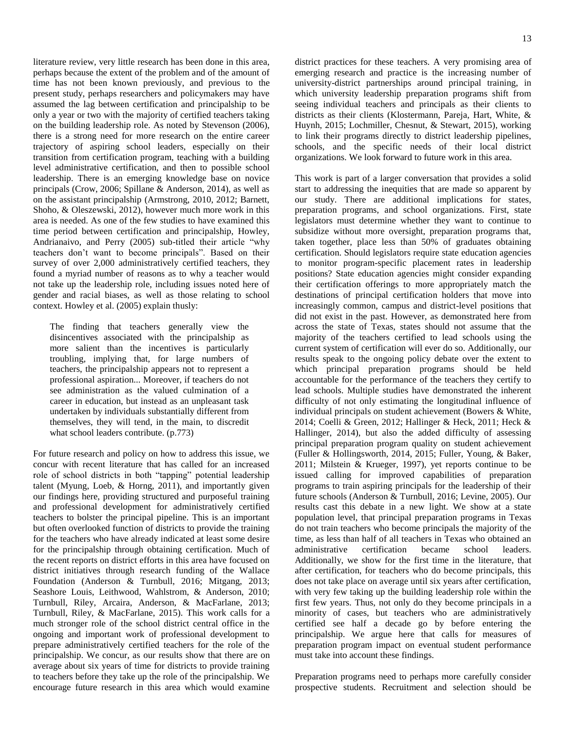literature review, very little research has been done in this area, perhaps because the extent of the problem and of the amount of time has not been known previously, and previous to the present study, perhaps researchers and policymakers may have assumed the lag between certification and principalship to be only a year or two with the majority of certified teachers taking on the building leadership role. As noted by Stevenson (2006), there is a strong need for more research on the entire career trajectory of aspiring school leaders, especially on their transition from certification program, teaching with a building level administrative certification, and then to possible school leadership. There is an emerging knowledge base on novice principals (Crow, 2006; Spillane & Anderson, 2014), as well as on the assistant principalship (Armstrong, 2010, 2012; Barnett, Shoho, & Oleszewski, 2012), however much more work in this area is needed. As one of the few studies to have examined this time period between certification and principalship, Howley, Andrianaivo, and Perry (2005) sub-titled their article "why teachers don't want to become principals". Based on their survey of over 2,000 administratively certified teachers, they found a myriad number of reasons as to why a teacher would not take up the leadership role, including issues noted here of gender and racial biases, as well as those relating to school context. Howley et al. (2005) explain thusly:

The finding that teachers generally view the disincentives associated with the principalship as more salient than the incentives is particularly troubling, implying that, for large numbers of teachers, the principalship appears not to represent a professional aspiration... Moreover, if teachers do not see administration as the valued culmination of a career in education, but instead as an unpleasant task undertaken by individuals substantially different from themselves, they will tend, in the main, to discredit what school leaders contribute. (p.773)

For future research and policy on how to address this issue, we concur with recent literature that has called for an increased role of school districts in both "tapping" potential leadership talent (Myung, Loeb, & Horng, 2011), and importantly given our findings here, providing structured and purposeful training and professional development for administratively certified teachers to bolster the principal pipeline. This is an important but often overlooked function of districts to provide the training for the teachers who have already indicated at least some desire for the principalship through obtaining certification. Much of the recent reports on district efforts in this area have focused on district initiatives through research funding of the Wallace Foundation (Anderson & Turnbull, 2016; Mitgang, 2013; Seashore Louis, Leithwood, Wahlstrom, & Anderson, 2010; Turnbull, Riley, Arcaira, Anderson, & MacFarlane, 2013; Turnbull, Riley, & MacFarlane, 2015). This work calls for a much stronger role of the school district central office in the ongoing and important work of professional development to prepare administratively certified teachers for the role of the principalship. We concur, as our results show that there are on average about six years of time for districts to provide training to teachers before they take up the role of the principalship. We encourage future research in this area which would examine district practices for these teachers. A very promising area of emerging research and practice is the increasing number of university-district partnerships around principal training, in which university leadership preparation programs shift from seeing individual teachers and principals as their clients to districts as their clients (Klostermann, Pareja, Hart, White, & Huynh, 2015; Lochmiller, Chesnut, & Stewart, 2015), working to link their programs directly to district leadership pipelines, schools, and the specific needs of their local district organizations. We look forward to future work in this area.

This work is part of a larger conversation that provides a solid start to addressing the inequities that are made so apparent by our study. There are additional implications for states, preparation programs, and school organizations. First, state legislators must determine whether they want to continue to subsidize without more oversight, preparation programs that, taken together, place less than 50% of graduates obtaining certification. Should legislators require state education agencies to monitor program-specific placement rates in leadership positions? State education agencies might consider expanding their certification offerings to more appropriately match the destinations of principal certification holders that move into increasingly common, campus and district-level positions that did not exist in the past. However, as demonstrated here from across the state of Texas, states should not assume that the majority of the teachers certified to lead schools using the current system of certification will ever do so. Additionally, our results speak to the ongoing policy debate over the extent to which principal preparation programs should be held accountable for the performance of the teachers they certify to lead schools. Multiple studies have demonstrated the inherent difficulty of not only estimating the longitudinal influence of individual principals on student achievement (Bowers & White, 2014; Coelli & Green, 2012; Hallinger & Heck, 2011; Heck & Hallinger, 2014), but also the added difficulty of assessing principal preparation program quality on student achievement (Fuller & Hollingsworth, 2014, 2015; Fuller, Young, & Baker, 2011; Milstein & Krueger, 1997), yet reports continue to be issued calling for improved capabilities of preparation programs to train aspiring principals for the leadership of their future schools (Anderson & Turnbull, 2016; Levine, 2005). Our results cast this debate in a new light. We show at a state population level, that principal preparation programs in Texas do not train teachers who become principals the majority of the time, as less than half of all teachers in Texas who obtained an administrative certification became school leaders. Additionally, we show for the first time in the literature, that after certification, for teachers who do become principals, this does not take place on average until six years after certification, with very few taking up the building leadership role within the first few years. Thus, not only do they become principals in a minority of cases, but teachers who are administratively certified see half a decade go by before entering the principalship. We argue here that calls for measures of preparation program impact on eventual student performance must take into account these findings.

Preparation programs need to perhaps more carefully consider prospective students. Recruitment and selection should be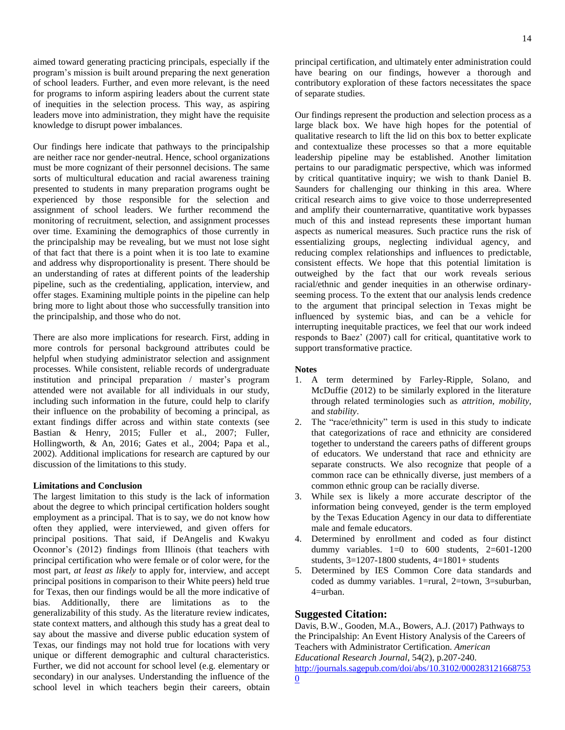aimed toward generating practicing principals, especially if the program's mission is built around preparing the next generation of school leaders. Further, and even more relevant, is the need for programs to inform aspiring leaders about the current state of inequities in the selection process. This way, as aspiring leaders move into administration, they might have the requisite knowledge to disrupt power imbalances.

Our findings here indicate that pathways to the principalship are neither race nor gender-neutral. Hence, school organizations must be more cognizant of their personnel decisions. The same sorts of multicultural education and racial awareness training presented to students in many preparation programs ought be experienced by those responsible for the selection and assignment of school leaders. We further recommend the monitoring of recruitment, selection, and assignment processes over time. Examining the demographics of those currently in the principalship may be revealing, but we must not lose sight of that fact that there is a point when it is too late to examine and address why disproportionality is present. There should be an understanding of rates at different points of the leadership pipeline, such as the credentialing, application, interview, and offer stages. Examining multiple points in the pipeline can help bring more to light about those who successfully transition into the principalship, and those who do not.

There are also more implications for research. First, adding in more controls for personal background attributes could be helpful when studying administrator selection and assignment processes. While consistent, reliable records of undergraduate institution and principal preparation / master's program attended were not available for all individuals in our study, including such information in the future, could help to clarify their influence on the probability of becoming a principal, as extant findings differ across and within state contexts (see Bastian & Henry, 2015; Fuller et al., 2007; Fuller, Hollingworth, & An, 2016; Gates et al., 2004; Papa et al., 2002). Additional implications for research are captured by our discussion of the limitations to this study.

### **Limitations and Conclusion**

The largest limitation to this study is the lack of information about the degree to which principal certification holders sought employment as a principal. That is to say, we do not know how often they applied, were interviewed, and given offers for principal positions. That said, if DeAngelis and Kwakyu Oconnor's (2012) findings from Illinois (that teachers with principal certification who were female or of color were, for the most part, *at least as likely* to apply for, interview, and accept principal positions in comparison to their White peers) held true for Texas, then our findings would be all the more indicative of bias. Additionally, there are limitations as to the generalizability of this study. As the literature review indicates, state context matters, and although this study has a great deal to say about the massive and diverse public education system of Texas, our findings may not hold true for locations with very unique or different demographic and cultural characteristics. Further, we did not account for school level (e.g. elementary or secondary) in our analyses. Understanding the influence of the school level in which teachers begin their careers, obtain

principal certification, and ultimately enter administration could have bearing on our findings, however a thorough and contributory exploration of these factors necessitates the space of separate studies.

Our findings represent the production and selection process as a large black box. We have high hopes for the potential of qualitative research to lift the lid on this box to better explicate and contextualize these processes so that a more equitable leadership pipeline may be established. Another limitation pertains to our paradigmatic perspective, which was informed by critical quantitative inquiry; we wish to thank Daniel B. Saunders for challenging our thinking in this area. Where critical research aims to give voice to those underrepresented and amplify their counternarrative, quantitative work bypasses much of this and instead represents these important human aspects as numerical measures. Such practice runs the risk of essentializing groups, neglecting individual agency, and reducing complex relationships and influences to predictable, consistent effects. We hope that this potential limitation is outweighed by the fact that our work reveals serious racial/ethnic and gender inequities in an otherwise ordinaryseeming process. To the extent that our analysis lends credence to the argument that principal selection in Texas might be influenced by systemic bias, and can be a vehicle for interrupting inequitable practices, we feel that our work indeed responds to Baez' (2007) call for critical, quantitative work to support transformative practice.

#### **Notes**

- 1. A term determined by Farley-Ripple, Solano, and McDuffie (2012) to be similarly explored in the literature through related terminologies such as *attrition*, *mobility,*  and *stability*.
- 2. The "race/ethnicity" term is used in this study to indicate that categorizations of race and ethnicity are considered together to understand the careers paths of different groups of educators. We understand that race and ethnicity are separate constructs. We also recognize that people of a common race can be ethnically diverse, just members of a common ethnic group can be racially diverse.
- 3. While sex is likely a more accurate descriptor of the information being conveyed, gender is the term employed by the Texas Education Agency in our data to differentiate male and female educators.
- 4. Determined by enrollment and coded as four distinct dummy variables.  $1=0$  to  $600$  students,  $2=601-1200$ students,  $3=1207-1800$  students,  $4=1801+$  students
- 5. Determined by IES Common Core data standards and coded as dummy variables. 1=rural, 2=town, 3=suburban, 4=urban.

# **Suggested Citation:**

Davis, B.W., Gooden, M.A., Bowers, A.J. (2017) Pathways to the Principalship: An Event History Analysis of the Careers of Teachers with Administrator Certification. *American Educational Research Journal*, 54(2), p.207-240.

[http://journals.sagepub.com/doi/abs/10.3102/000283121668753](http://journals.sagepub.com/doi/abs/10.3102/0002831216687530) [0](http://journals.sagepub.com/doi/abs/10.3102/0002831216687530)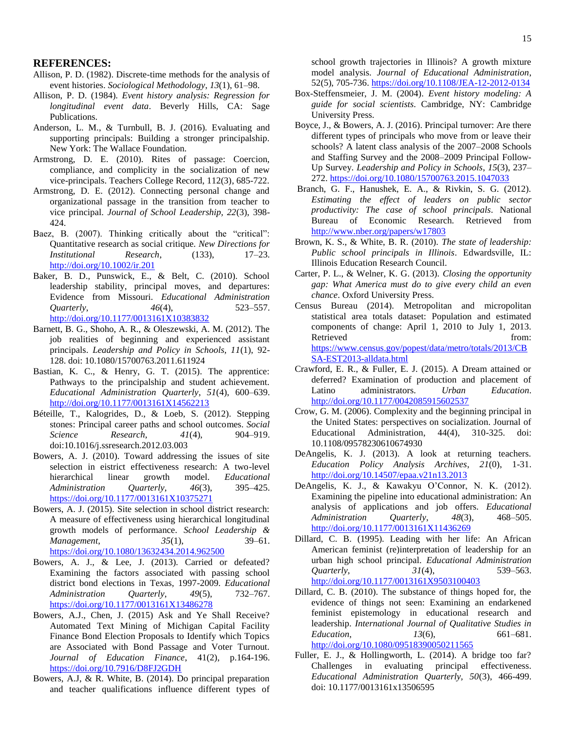- Allison, P. D. (1982). Discrete-time methods for the analysis of event histories. *Sociological Methodology*, *13*(1), 61–98.
- Allison, P. D. (1984). *Event history analysis: Regression for longitudinal event data*. Beverly Hills, CA: Sage Publications.
- Anderson, L. M., & Turnbull, B. J. (2016). Evaluating and supporting principals: Building a stronger principalship. New York: The Wallace Foundation.
- Armstrong, D. E. (2010). Rites of passage: Coercion, compliance, and complicity in the socialization of new vice-principals. Teachers College Record, 112(3), 685-722.
- Armstrong, D. E. (2012). Connecting personal change and organizational passage in the transition from teacher to vice principal. *Journal of School Leadership, 22*(3), 398- 424.
- Baez, B. (2007). Thinking critically about the "critical": Quantitative research as social critique. *New Directions for Institutional Research*, (133), 17–23. <http://doi.org/10.1002/ir.201>
- Baker, B. D., Punswick, E., & Belt, C. (2010). School leadership stability, principal moves, and departures: Evidence from Missouri. *Educational Administration Quarterly*, *46*(4), 523–557. <http://doi.org/10.1177/0013161X10383832>
- Barnett, B. G., Shoho, A. R., & Oleszewski, A. M. (2012). The job realities of beginning and experienced assistant principals. *Leadership and Policy in Schools, 11*(1), 92- 128. doi: 10.1080/15700763.2011.611924
- Bastian, K. C., & Henry, G. T. (2015). The apprentice: Pathways to the principalship and student achievement. *Educational Administration Quarterly*, *51*(4), 600–639. <http://doi.org/10.1177/0013161X14562213>
- Béteille, T., Kalogrides, D., & Loeb, S. (2012). Stepping stones: Principal career paths and school outcomes. *Social Science Research*, *41*(4), 904–919. doi:10.1016/j.ssresearch.2012.03.003
- Bowers, A. J. (2010). Toward addressing the issues of site selection in eistrict effectiveness research: A two-level hierarchical linear growth model. *Educational Administration Quarterly*, *46*(3), 395–425. <https://doi.org/10.1177/0013161X10375271>
- Bowers, A. J. (2015). Site selection in school district research: A measure of effectiveness using hierarchical longitudinal growth models of performance. *School Leadership & Management*, *35*(1), 39–61. <https://doi.org/10.1080/13632434.2014.962500>
- Bowers, A. J., & Lee, J. (2013). Carried or defeated? Examining the factors associated with passing school district bond elections in Texas, 1997-2009. *Educational Administration Quarterly*, *49*(5), 732–767. <https://doi.org/10.1177/0013161X13486278>
- Bowers, A.J., Chen, J. (2015) Ask and Ye Shall Receive? Automated Text Mining of Michigan Capital Facility Finance Bond Election Proposals to Identify which Topics are Associated with Bond Passage and Voter Turnout. *Journal of Education Finance*, 41(2), p.164-196. <https://doi.org/10.7916/D8FJ2GDH>
- Bowers, A.J, & R. White, B. (2014). Do principal preparation and teacher qualifications influence different types of

school growth trajectories in Illinois? A growth mixture model analysis. *Journal of Educational Administration*, 52(5), 705-736[. https://doi.org/10.1108/JEA-12-2012-0134](https://doi.org/10.1108/JEA-12-2012-0134)

- Box-Steffensmeier, J. M. (2004). *Event history modeling: A guide for social scientists*. Cambridge, NY: Cambridge University Press.
- Boyce, J., & Bowers, A. J. (2016). Principal turnover: Are there different types of principals who move from or leave their schools? A latent class analysis of the 2007–2008 Schools and Staffing Survey and the 2008–2009 Principal Follow-Up Survey. *Leadership and Policy in Schools*, *15*(3), 237– 272[. https://doi.org/10.1080/15700763.2015.1047033](https://doi.org/10.1080/15700763.2015.1047033)
- Branch, G. F., Hanushek, E. A., & Rivkin, S. G. (2012). *Estimating the effect of leaders on public sector productivity: The case of school principals*. National Bureau of Economic Research. Retrieved from <http://www.nber.org/papers/w17803>
- Brown, K. S., & White, B. R. (2010). *The state of leadership: Public school principals in Illinois*. Edwardsville, IL: Illinois Education Research Council.
- Carter, P. L., & Welner, K. G. (2013). *Closing the opportunity gap: What America must do to give every child an even chance*. Oxford University Press.
- Census Bureau (2014). Metropolitan and micropolitan statistical area totals dataset: Population and estimated components of change: April 1, 2010 to July 1, 2013. Retrieved from: [https://www.census.gov/popest/data/metro/totals/2013/CB](https://www.census.gov/popest/data/metro/totals/2013/CBSA-EST2013-alldata.html) [SA-EST2013-alldata.html](https://www.census.gov/popest/data/metro/totals/2013/CBSA-EST2013-alldata.html)
- Crawford, E. R., & Fuller, E. J. (2015). A Dream attained or deferred? Examination of production and placement of Latino administrators. *Urban Education*. <http://doi.org/10.1177/0042085915602537>
- Crow, G. M. (2006). Complexity and the beginning principal in the United States: perspectives on socialization. Journal of Educational Administration, 44(4), 310-325. doi: 10.1108/09578230610674930
- DeAngelis, K. J. (2013). A look at returning teachers. *Education Policy Analysis Archives*, *21*(0), 1-31. <http://doi.org/10.14507/epaa.v21n13.2013>
- DeAngelis, K. J., & Kawakyu O'Connor, N. K. (2012). Examining the pipeline into educational administration: An analysis of applications and job offers. *Educational Administration Quarterly*, *48*(3), 468–505. <http://doi.org/10.1177/0013161X11436269>
- Dillard, C. B. (1995). Leading with her life: An African American feminist (re)interpretation of leadership for an urban high school principal. *Educational Administration Quarterly*, *31*(4), 539–563. <http://doi.org/10.1177/0013161X9503100403>
- Dillard, C. B. (2010). The substance of things hoped for, the evidence of things not seen: Examining an endarkened feminist epistemology in educational research and leadership. *International Journal of Qualitative Studies in Education*, *13*(6), 661–681. <http://doi.org/10.1080/09518390050211565>
- Fuller, E. J., & Hollingworth, L. (2014). A bridge too far? Challenges in evaluating principal effectiveness. *Educational Administration Quarterly, 50*(3), 466-499. doi: 10.1177/0013161x13506595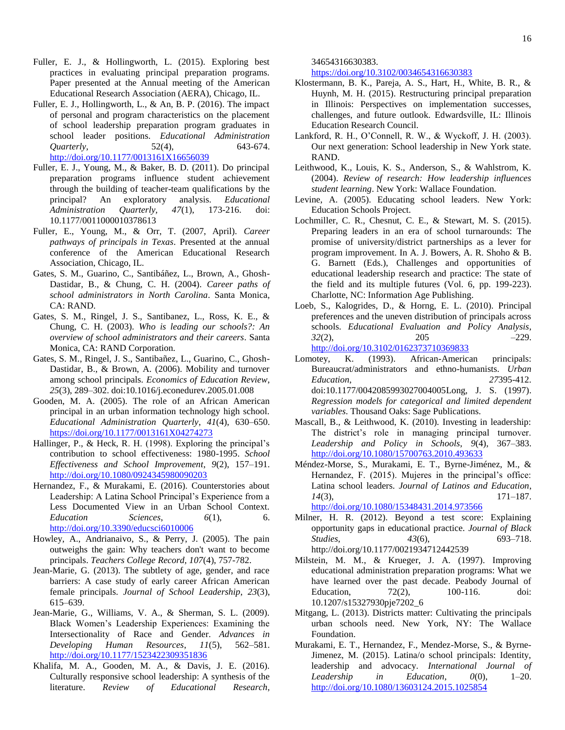- Fuller, E. J., & Hollingworth, L. (2015). Exploring best practices in evaluating principal preparation programs. Paper presented at the Annual meeting of the American Educational Research Association (AERA), Chicago, IL.
- Fuller, E. J., Hollingworth, L., & An, B. P. (2016). The impact of personal and program characteristics on the placement of school leadership preparation program graduates in school leader positions. *Educational Administration Quarterly,* 52(4), 52(4), 643-674. <http://doi.org/10.1177/0013161X16656039>
- Fuller, E. J., Young, M., & Baker, B. D. (2011). Do principal preparation programs influence student achievement through the building of teacher-team qualifications by the principal? An exploratory analysis. *Educational Administration Quarterly, 47*(1), 173-216. doi: 10.1177/0011000010378613
- Fuller, E., Young, M., & Orr, T. (2007, April). *Career pathways of principals in Texas*. Presented at the annual conference of the American Educational Research Association, Chicago, IL.
- Gates, S. M., Guarino, C., Santibáñez, L., Brown, A., Ghosh-Dastidar, B., & Chung, C. H. (2004). *Career paths of school administrators in North Carolina*. Santa Monica, CA: RAND.
- Gates, S. M., Ringel, J. S., Santibanez, L., Ross, K. E., & Chung, C. H. (2003). *Who is leading our schools?: An overview of school administrators and their careers*. Santa Monica, CA: RAND Corporation.
- Gates, S. M., Ringel, J. S., Santibañez, L., Guarino, C., Ghosh-Dastidar, B., & Brown, A. (2006). Mobility and turnover among school principals. *Economics of Education Review*, *25*(3), 289–302. doi:10.1016/j.econedurev.2005.01.008
- Gooden, M. A. (2005). The role of an African American principal in an urban information technology high school. *Educational Administration Quarterly*, *41*(4), 630–650. <https://doi.org/10.1177/0013161X04274273>
- Hallinger, P., & Heck, R. H. (1998). Exploring the principal's contribution to school effectiveness: 1980-1995. *School Effectiveness and School Improvement*, *9*(2), 157–191. <http://doi.org/10.1080/0924345980090203>
- Hernandez, F., & Murakami, E. (2016). Counterstories about Leadership: A Latina School Principal's Experience from a Less Documented View in an Urban School Context. *Education Sciences*, *6*(1), 6. <http://doi.org/10.3390/educsci6010006>
- Howley, A., Andrianaivo, S., & Perry, J. (2005). The pain outweighs the gain: Why teachers don't want to become principals. *Teachers College Record, 107*(4), 757-782.
- Jean-Marie, G. (2013). The subtlety of age, gender, and race barriers: A case study of early career African American female principals. *Journal of School Leadership*, *23*(3), 615–639.
- Jean-Marie, G., Williams, V. A., & Sherman, S. L. (2009). Black Women's Leadership Experiences: Examining the Intersectionality of Race and Gender. *Advances in Developing Human Resources*, *11*(5), 562–581. <http://doi.org/10.1177/1523422309351836>
- Khalifa, M. A., Gooden, M. A., & Davis, J. E. (2016). Culturally responsive school leadership: A synthesis of the literature. *Review of Educational Research*,

34654316630383.

<https://doi.org/10.3102/0034654316630383>

- Klostermann, B. K., Pareja, A. S., Hart, H., White, B. R., & Huynh, M. H. (2015). Restructuring principal preparation in Illinois: Perspectives on implementation successes, challenges, and future outlook. Edwardsville, IL: Illinois Education Research Council.
- Lankford, R. H., O'Connell, R. W., & Wyckoff, J. H. (2003). Our next generation: School leadership in New York state. RAND.
- Leithwood, K., Louis, K. S., Anderson, S., & Wahlstrom, K. (2004). *Review of research: How leadership influences student learning*. New York: Wallace Foundation.
- Levine, A. (2005). Educating school leaders. New York: Education Schools Project.
- Lochmiller, C. R., Chesnut, C. E., & Stewart, M. S. (2015). Preparing leaders in an era of school turnarounds: The promise of university/district partnerships as a lever for program improvement. In A. J. Bowers, A. R. Shoho & B. G. Barnett (Eds.), Challenges and opportunities of educational leadership research and practice: The state of the field and its multiple futures (Vol. 6, pp. 199-223). Charlotte, NC: Information Age Publishing.
- Loeb, S., Kalogrides, D., & Horng, E. L. (2010). Principal preferences and the uneven distribution of principals across schools. *Educational Evaluation and Policy Analysis*, *32*(2), 205 –229. <http://doi.org/10.3102/0162373710369833>
- Lomotey, K. (1993). African-American principals: Bureaucrat/administrators and ethno-humanists. *Urban Education*, *27*395-412. doi:10.1177/0042085993027004005Long, J. S. (1997). *Regression models for categorical and limited dependent variables*. Thousand Oaks: Sage Publications.
- Mascall, B., & Leithwood, K. (2010). Investing in leadership: The district's role in managing principal turnover. *Leadership and Policy in Schools*, *9*(4), 367–383. <http://doi.org/10.1080/15700763.2010.493633>
- Méndez-Morse, S., Murakami, E. T., Byrne-Jiménez, M., & Hernandez, F. (2015). Mujeres in the principal's office: Latina school leaders. *Journal of Latinos and Education*, *14*(3), 171–187.

<http://doi.org/10.1080/15348431.2014.973566>

- Milner, H. R. (2012). Beyond a test score: Explaining opportunity gaps in educational practice. *Journal of Black Studies*, *43*(6), 693–718. http://doi.org/10.1177/0021934712442539
- Milstein, M. M., & Krueger, J. A. (1997). Improving educational administration preparation programs: What we have learned over the past decade. Peabody Journal of Education,  $72(2)$ ,  $100-116$ . doi: 10.1207/s15327930pje7202\_6
- Mitgang, L. (2013). Districts matter: Cultivating the principals urban schools need. New York, NY: The Wallace Foundation.
- Murakami, E. T., Hernandez, F., Mendez-Morse, S., & Byrne-Jimenez, M. (2015). Latina/o school principals: Identity, leadership and advocacy. *International Journal of Leadership in Education*, *0*(0), 1–20. <http://doi.org/10.1080/13603124.2015.1025854>